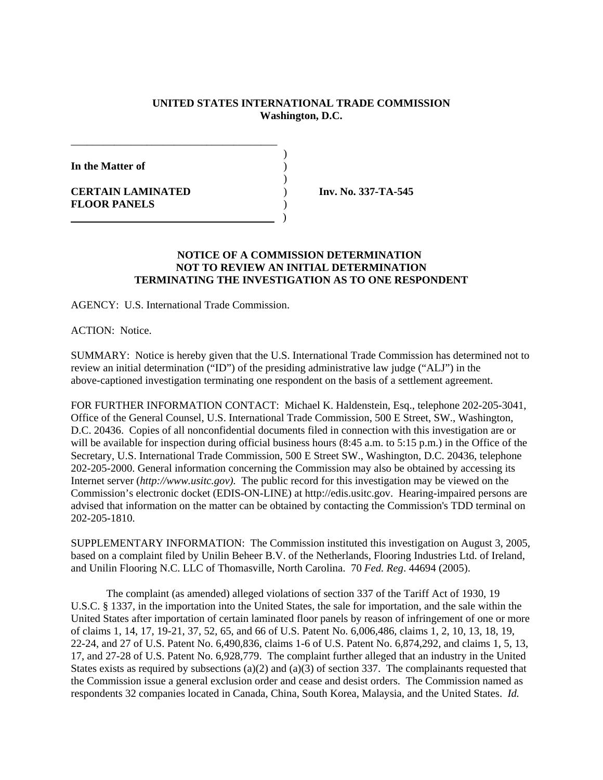## **UNITED STATES INTERNATIONAL TRADE COMMISSION Washington, D.C.**

)

)

**In the Matter of** )

**CERTAIN LAMINATED** ) **Inv. No. 337-TA-545 FLOOR PANELS** )

## **NOTICE OF A COMMISSION DETERMINATION NOT TO REVIEW AN INITIAL DETERMINATION TERMINATING THE INVESTIGATION AS TO ONE RESPONDENT**

AGENCY: U.S. International Trade Commission.

)

\_\_\_\_\_\_\_\_\_\_\_\_\_\_\_\_\_\_\_\_\_\_\_\_\_\_\_\_\_\_\_\_\_\_\_\_\_\_

ACTION: Notice.

SUMMARY: Notice is hereby given that the U.S. International Trade Commission has determined not to review an initial determination ("ID") of the presiding administrative law judge ("ALJ") in the above-captioned investigation terminating one respondent on the basis of a settlement agreement.

FOR FURTHER INFORMATION CONTACT: Michael K. Haldenstein, Esq., telephone 202-205-3041, Office of the General Counsel, U.S. International Trade Commission, 500 E Street, SW., Washington, D.C. 20436. Copies of all nonconfidential documents filed in connection with this investigation are or will be available for inspection during official business hours (8:45 a.m. to 5:15 p.m.) in the Office of the Secretary, U.S. International Trade Commission, 500 E Street SW., Washington, D.C. 20436, telephone 202-205-2000. General information concerning the Commission may also be obtained by accessing its Internet server (*http://www.usitc.gov).* The public record for this investigation may be viewed on the Commission's electronic docket (EDIS-ON-LINE) at http://edis.usitc.gov. Hearing-impaired persons are advised that information on the matter can be obtained by contacting the Commission's TDD terminal on 202-205-1810.

SUPPLEMENTARY INFORMATION: The Commission instituted this investigation on August 3, 2005, based on a complaint filed by Unilin Beheer B.V. of the Netherlands, Flooring Industries Ltd. of Ireland, and Unilin Flooring N.C. LLC of Thomasville, North Carolina. 70 *Fed. Reg*. 44694 (2005).

The complaint (as amended) alleged violations of section 337 of the Tariff Act of 1930, 19 U.S.C. § 1337, in the importation into the United States, the sale for importation, and the sale within the United States after importation of certain laminated floor panels by reason of infringement of one or more of claims 1, 14, 17, 19-21, 37, 52, 65, and 66 of U.S. Patent No. 6,006,486, claims 1, 2, 10, 13, 18, 19, 22-24, and 27 of U.S. Patent No. 6,490,836, claims 1-6 of U.S. Patent No. 6,874,292, and claims 1, 5, 13, 17, and 27-28 of U.S. Patent No. 6,928,779. The complaint further alleged that an industry in the United States exists as required by subsections (a)(2) and (a)(3) of section 337. The complainants requested that the Commission issue a general exclusion order and cease and desist orders. The Commission named as respondents 32 companies located in Canada, China, South Korea, Malaysia, and the United States. *Id.*